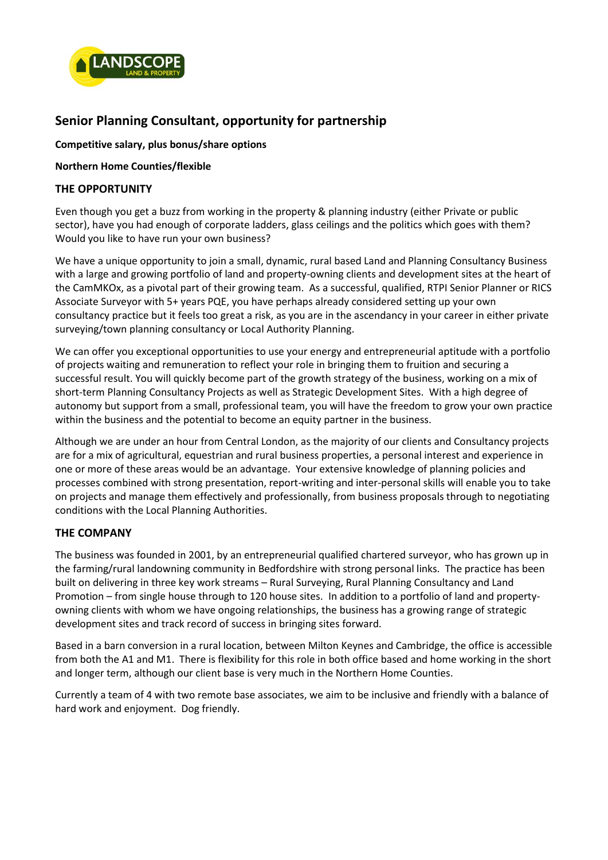

# **Senior Planning Consultant, opportunity for partnership**

**Competitive salary, plus bonus/share options**

#### **Northern Home Counties/flexible**

# **THE OPPORTUNITY**

Even though you get a buzz from working in the property & planning industry (either Private or public sector), have you had enough of corporate ladders, glass ceilings and the politics which goes with them? Would you like to have run your own business?

We have a unique opportunity to join a small, dynamic, rural based Land and Planning Consultancy Business with a large and growing portfolio of land and property-owning clients and development sites at the heart of the CamMKOx, as a pivotal part of their growing team. As a successful, qualified, RTPI Senior Planner or RICS Associate Surveyor with 5+ years PQE, you have perhaps already considered setting up your own consultancy practice but it feels too great a risk, as you are in the ascendancy in your career in either private surveying/town planning consultancy or Local Authority Planning.

We can offer you exceptional opportunities to use your energy and entrepreneurial aptitude with a portfolio of projects waiting and remuneration to reflect your role in bringing them to fruition and securing a successful result. You will quickly become part of the growth strategy of the business, working on a mix of short-term Planning Consultancy Projects as well as Strategic Development Sites. With a high degree of autonomy but support from a small, professional team, you will have the freedom to grow your own practice within the business and the potential to become an equity partner in the business.

Although we are under an hour from Central London, as the majority of our clients and Consultancy projects are for a mix of agricultural, equestrian and rural business properties, a personal interest and experience in one or more of these areas would be an advantage. Your extensive knowledge of planning policies and processes combined with strong presentation, report-writing and inter-personal skills will enable you to take on projects and manage them effectively and professionally, from business proposals through to negotiating conditions with the Local Planning Authorities.

# **THE COMPANY**

The business was founded in 2001, by an entrepreneurial qualified chartered surveyor, who has grown up in the farming/rural landowning community in Bedfordshire with strong personal links. The practice has been built on delivering in three key work streams – Rural Surveying, Rural Planning Consultancy and Land Promotion – from single house through to 120 house sites. In addition to a portfolio of land and propertyowning clients with whom we have ongoing relationships, the business has a growing range of strategic development sites and track record of success in bringing sites forward.

Based in a barn conversion in a rural location, between Milton Keynes and Cambridge, the office is accessible from both the A1 and M1. There is flexibility for this role in both office based and home working in the short and longer term, although our client base is very much in the Northern Home Counties.

Currently a team of 4 with two remote base associates, we aim to be inclusive and friendly with a balance of hard work and enjoyment. Dog friendly.